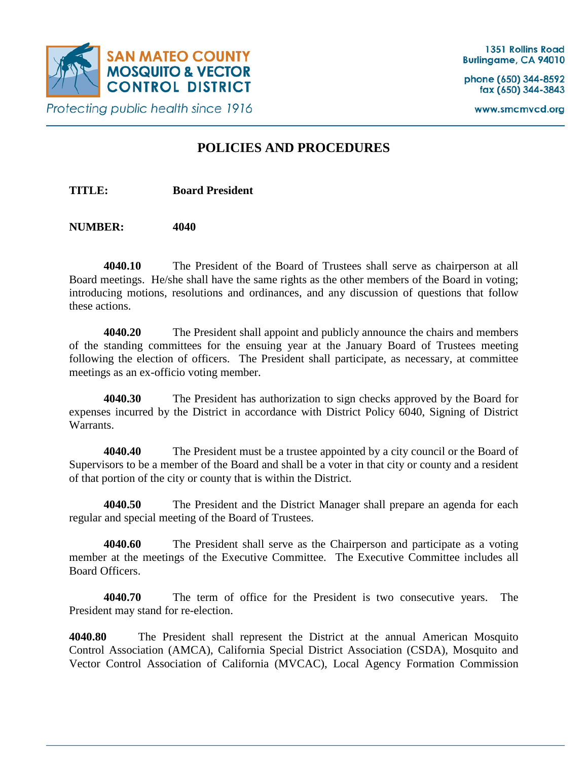

www.smcmvcd.org

**Protecting public health since 1916** 

# **POLICIES AND PROCEDURES**

**TITLE: Board President**

**NUMBER: 4040**

**4040.10** The President of the Board of Trustees shall serve as chairperson at all Board meetings. He/she shall have the same rights as the other members of the Board in voting; introducing motions, resolutions and ordinances, and any discussion of questions that follow these actions.

**4040.20** The President shall appoint and publicly announce the chairs and members of the standing committees for the ensuing year at the January Board of Trustees meeting following the election of officers. The President shall participate, as necessary, at committee meetings as an ex-officio voting member.

**4040.30** The President has authorization to sign checks approved by the Board for expenses incurred by the District in accordance with District Policy 6040, Signing of District Warrants.

**4040.40** The President must be a trustee appointed by a city council or the Board of Supervisors to be a member of the Board and shall be a voter in that city or county and a resident of that portion of the city or county that is within the District.

**4040.50** The President and the District Manager shall prepare an agenda for each regular and special meeting of the Board of Trustees.

**4040.60** The President shall serve as the Chairperson and participate as a voting member at the meetings of the Executive Committee. The Executive Committee includes all Board Officers.

**4040.70** The term of office for the President is two consecutive years. The President may stand for re-election.

**4040.80** The President shall represent the District at the annual American Mosquito Control Association (AMCA), California Special District Association (CSDA), Mosquito and Vector Control Association of California (MVCAC), Local Agency Formation Commission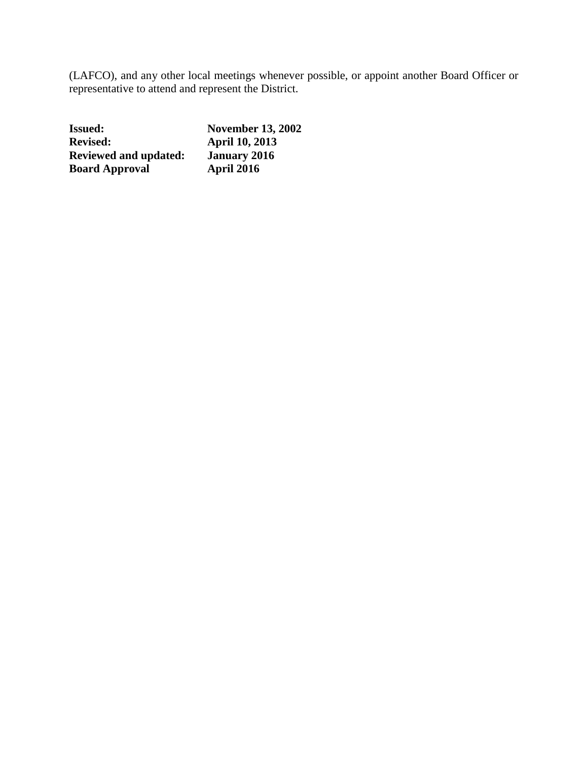(LAFCO), and any other local meetings whenever possible, or appoint another Board Officer or representative to attend and represent the District.

| <b>Issued:</b>               | <b>November 13, 2002</b> |
|------------------------------|--------------------------|
| <b>Revised:</b>              | <b>April 10, 2013</b>    |
| <b>Reviewed and updated:</b> | <b>January 2016</b>      |
| <b>Board Approval</b>        | April 2016               |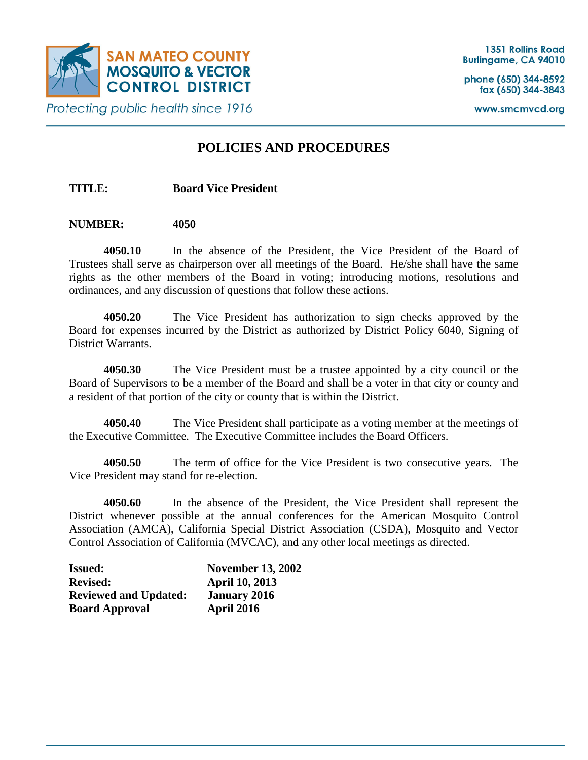

www.smcmvcd.org

## **POLICIES AND PROCEDURES**

**TITLE: Board Vice President**

### **NUMBER: 4050**

**4050.10** In the absence of the President, the Vice President of the Board of Trustees shall serve as chairperson over all meetings of the Board. He/she shall have the same rights as the other members of the Board in voting; introducing motions, resolutions and ordinances, and any discussion of questions that follow these actions.

**4050.20** The Vice President has authorization to sign checks approved by the Board for expenses incurred by the District as authorized by District Policy 6040, Signing of District Warrants.

**4050.30** The Vice President must be a trustee appointed by a city council or the Board of Supervisors to be a member of the Board and shall be a voter in that city or county and a resident of that portion of the city or county that is within the District.

**4050.40** The Vice President shall participate as a voting member at the meetings of the Executive Committee. The Executive Committee includes the Board Officers.

**4050.50** The term of office for the Vice President is two consecutive years. The Vice President may stand for re-election.

**4050.60** In the absence of the President, the Vice President shall represent the District whenever possible at the annual conferences for the American Mosquito Control Association (AMCA), California Special District Association (CSDA), Mosquito and Vector Control Association of California (MVCAC), and any other local meetings as directed.

| <b>Issued:</b>               | <b>November 13, 2002</b> |
|------------------------------|--------------------------|
| <b>Revised:</b>              | <b>April 10, 2013</b>    |
| <b>Reviewed and Updated:</b> | <b>January 2016</b>      |
| <b>Board Approval</b>        | <b>April 2016</b>        |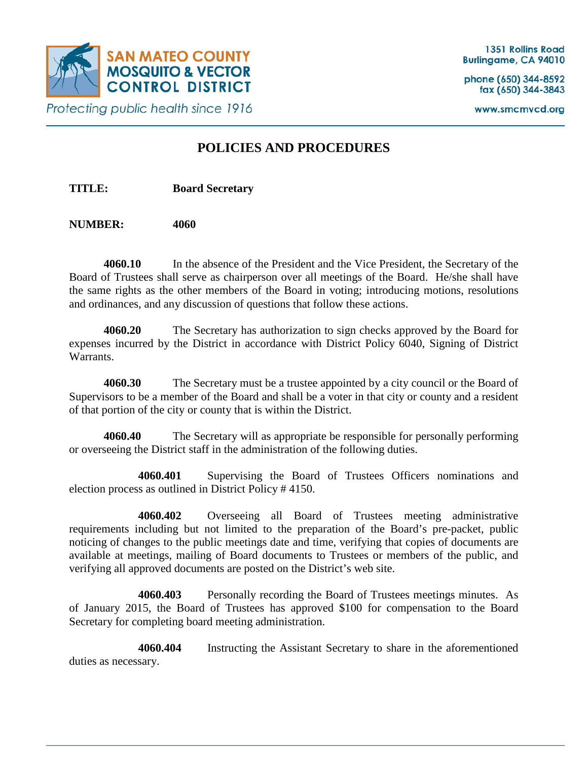

www.smcmvcd.org

## **POLICIES AND PROCEDURES**

**TITLE: Board Secretary**

**NUMBER: 4060**

**4060.10** In the absence of the President and the Vice President, the Secretary of the Board of Trustees shall serve as chairperson over all meetings of the Board. He/she shall have the same rights as the other members of the Board in voting; introducing motions, resolutions and ordinances, and any discussion of questions that follow these actions.

**4060.20** The Secretary has authorization to sign checks approved by the Board for expenses incurred by the District in accordance with District Policy 6040, Signing of District Warrants.

**4060.30** The Secretary must be a trustee appointed by a city council or the Board of Supervisors to be a member of the Board and shall be a voter in that city or county and a resident of that portion of the city or county that is within the District.

**4060.40** The Secretary will as appropriate be responsible for personally performing or overseeing the District staff in the administration of the following duties.

**4060.401** Supervising the Board of Trustees Officers nominations and election process as outlined in District Policy # 4150.

**4060.402** Overseeing all Board of Trustees meeting administrative requirements including but not limited to the preparation of the Board's pre-packet, public noticing of changes to the public meetings date and time, verifying that copies of documents are available at meetings, mailing of Board documents to Trustees or members of the public, and verifying all approved documents are posted on the District's web site.

**4060.403** Personally recording the Board of Trustees meetings minutes. As of January 2015, the Board of Trustees has approved \$100 for compensation to the Board Secretary for completing board meeting administration.

**4060.404** Instructing the Assistant Secretary to share in the aforementioned duties as necessary.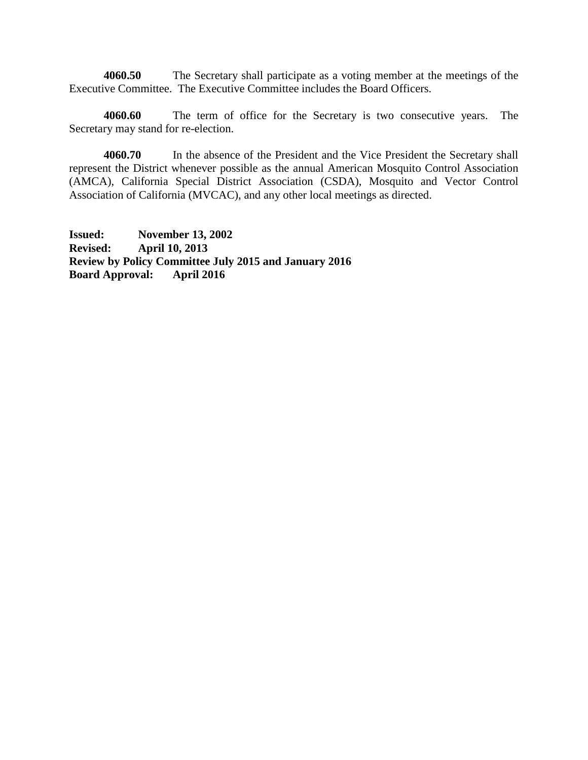**4060.50** The Secretary shall participate as a voting member at the meetings of the Executive Committee. The Executive Committee includes the Board Officers.

**4060.60** The term of office for the Secretary is two consecutive years. The Secretary may stand for re-election.

**4060.70** In the absence of the President and the Vice President the Secretary shall represent the District whenever possible as the annual American Mosquito Control Association (AMCA), California Special District Association (CSDA), Mosquito and Vector Control Association of California (MVCAC), and any other local meetings as directed.

**Issued: November 13, 2002 Revised: April 10, 2013 Review by Policy Committee July 2015 and January 2016 Board Approval: April 2016**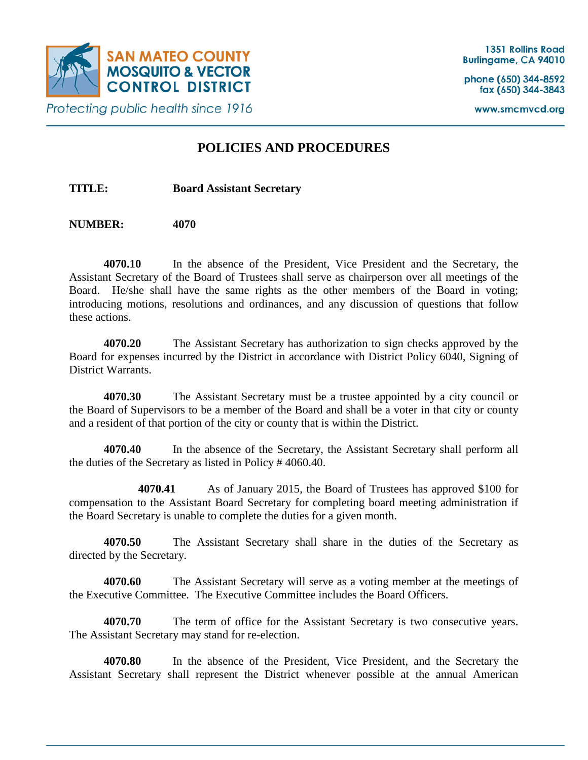

www.smcmvcd.org

**Protecting public health since 1916** 

## **POLICIES AND PROCEDURES**

**TITLE: Board Assistant Secretary**

**NUMBER: 4070**

**4070.10** In the absence of the President, Vice President and the Secretary, the Assistant Secretary of the Board of Trustees shall serve as chairperson over all meetings of the Board. He/she shall have the same rights as the other members of the Board in voting; introducing motions, resolutions and ordinances, and any discussion of questions that follow these actions.

**4070.20** The Assistant Secretary has authorization to sign checks approved by the Board for expenses incurred by the District in accordance with District Policy 6040, Signing of District Warrants.

**4070.30** The Assistant Secretary must be a trustee appointed by a city council or the Board of Supervisors to be a member of the Board and shall be a voter in that city or county and a resident of that portion of the city or county that is within the District.

**4070.40** In the absence of the Secretary, the Assistant Secretary shall perform all the duties of the Secretary as listed in Policy # 4060.40.

**4070.41** As of January 2015, the Board of Trustees has approved \$100 for compensation to the Assistant Board Secretary for completing board meeting administration if the Board Secretary is unable to complete the duties for a given month.

**4070.50** The Assistant Secretary shall share in the duties of the Secretary as directed by the Secretary.

**4070.60** The Assistant Secretary will serve as a voting member at the meetings of the Executive Committee. The Executive Committee includes the Board Officers.

**4070.70** The term of office for the Assistant Secretary is two consecutive years. The Assistant Secretary may stand for re-election.

**4070.80** In the absence of the President, Vice President, and the Secretary the Assistant Secretary shall represent the District whenever possible at the annual American